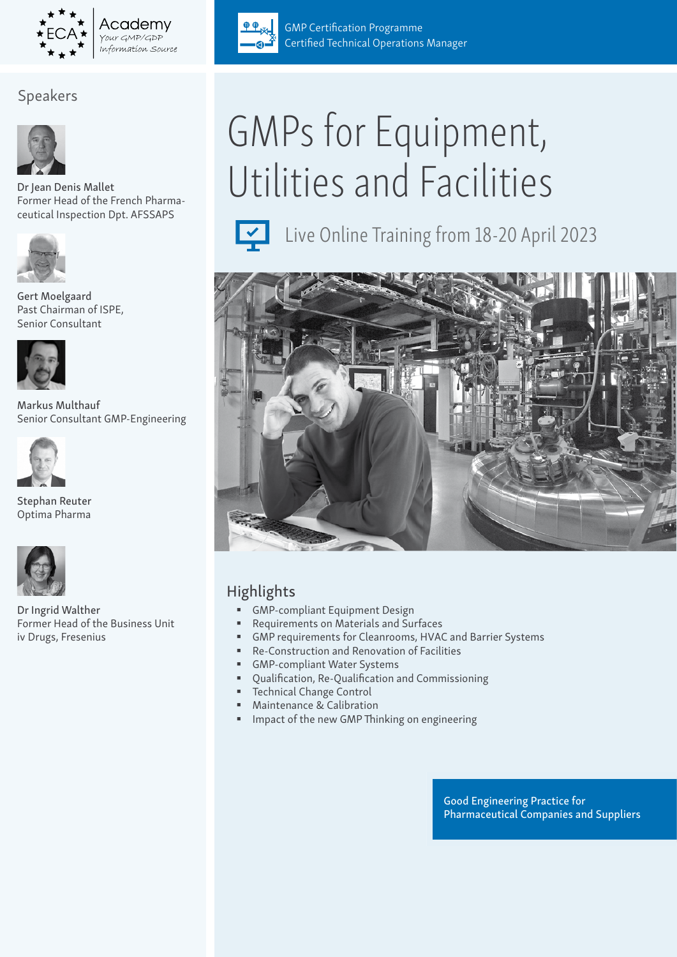

Academv Your GMP/GDP information Source

# Speakers



Dr Jean Denis Mallet Former Head of the French Pharmaceutical Inspection Dpt. AFSSAPS



Gert Moelgaard Past Chairman of ISPE, Senior Consultant



Markus Multhauf Senior Consultant GMP-Engineering



Stephan Reuter Optima Pharma



Dr Ingrid Walther Former Head of the Business Unit iv Drugs, Fresenius



**GMP Certification Programme** Certified Technical Operations Manager

# GMPs for Equipment, Utilities and Facilities



Live Online Training from 18-20 April 2023



# Highlights

- **GMP-compliant Equipment Design**
- Requirements on Materials and Surfaces
- GMP requirements for Cleanrooms, HVAC and Barrier Systems
- Re-Construction and Renovation of Facilities
- GMP-compliant Water Systems
- Qualification, Re-Qualification and Commissioning
- Technical Change Control
- Maintenance & Calibration
- Impact of the new GMP Thinking on engineering

Good Engineering Practice for Pharmaceutical Companies and Suppliers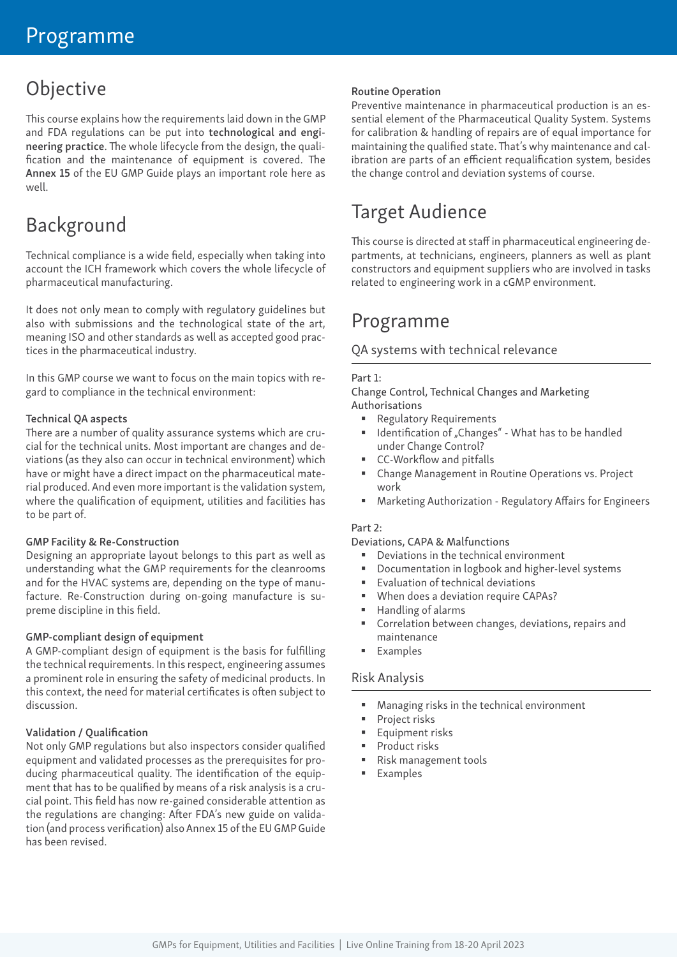# Objective

This course explains how the requirements laid down in the GMP and FDA regulations can be put into technological and engineering practice. The whole lifecycle from the design, the qualification and the maintenance of equipment is covered. The Annex 15 of the EU GMP Guide plays an important role here as well.

# Background

Technical compliance is a wide field, especially when taking into account the ICH framework which covers the whole lifecycle of pharmaceutical manufacturing.

It does not only mean to comply with regulatory guidelines but also with submissions and the technological state of the art, meaning ISO and other standards as well as accepted good practices in the pharmaceutical industry.

In this GMP course we want to focus on the main topics with regard to compliance in the technical environment:

#### Technical QA aspects

There are a number of quality assurance systems which are crucial for the technical units. Most important are changes and deviations (as they also can occur in technical environment) which have or might have a direct impact on the pharmaceutical material produced. And even more important is the validation system, where the qualification of equipment, utilities and facilities has to be part of.

#### GMP Facility & Re-Construction

Designing an appropriate layout belongs to this part as well as understanding what the GMP requirements for the cleanrooms and for the HVAC systems are, depending on the type of manufacture. Re-Construction during on-going manufacture is supreme discipline in this field.

#### GMP-compliant design of equipment

A GMP-compliant design of equipment is the basis for fulfilling the technical requirements. In this respect, engineering assumes a prominent role in ensuring the safety of medicinal products. In this context, the need for material certificates is often subject to discussion.

#### Validation / Qualification

Not only GMP regulations but also inspectors consider qualified equipment and validated processes as the prerequisites for producing pharmaceutical quality. The identification of the equipment that has to be qualified by means of a risk analysis is a crucial point. This field has now re-gained considerable attention as the regulations are changing: After FDA's new guide on validation (and process verification) also Annex 15 of the EU GMP Guide has been revised.

#### Routine Operation

Preventive maintenance in pharmaceutical production is an essential element of the Pharmaceutical Quality System. Systems for calibration & handling of repairs are of equal importance for maintaining the qualified state. That's why maintenance and calibration are parts of an efficient requalification system, besides the change control and deviation systems of course.

# Target Audience

This course is directed at staff in pharmaceutical engineering departments, at technicians, engineers, planners as well as plant constructors and equipment suppliers who are involved in tasks related to engineering work in a cGMP environment.

# Programme

#### QA systems with technical relevance

#### Part 1:

Change Control, Technical Changes and Marketing Authorisations

- Regulatory Requirements
- Identification of "Changes" What has to be handled under Change Control?
- CC-Workflow and pitfalls
- Change Management in Routine Operations vs. Project work
- Marketing Authorization Regulatory Affairs for Engineers

#### Part 2:

Deviations, CAPA & Malfunctions

- Deviations in the technical environment
- Documentation in logbook and higher-level systems
- **Evaluation of technical deviations**
- When does a deviation require CAPAs?
- Handling of alarms
- Correlation between changes, deviations, repairs and maintenance
- Examples

#### Risk Analysis

- Managing risks in the technical environment
- Project risks
- Equipment risks
- **Product risks**
- Risk management tools
- **Examples**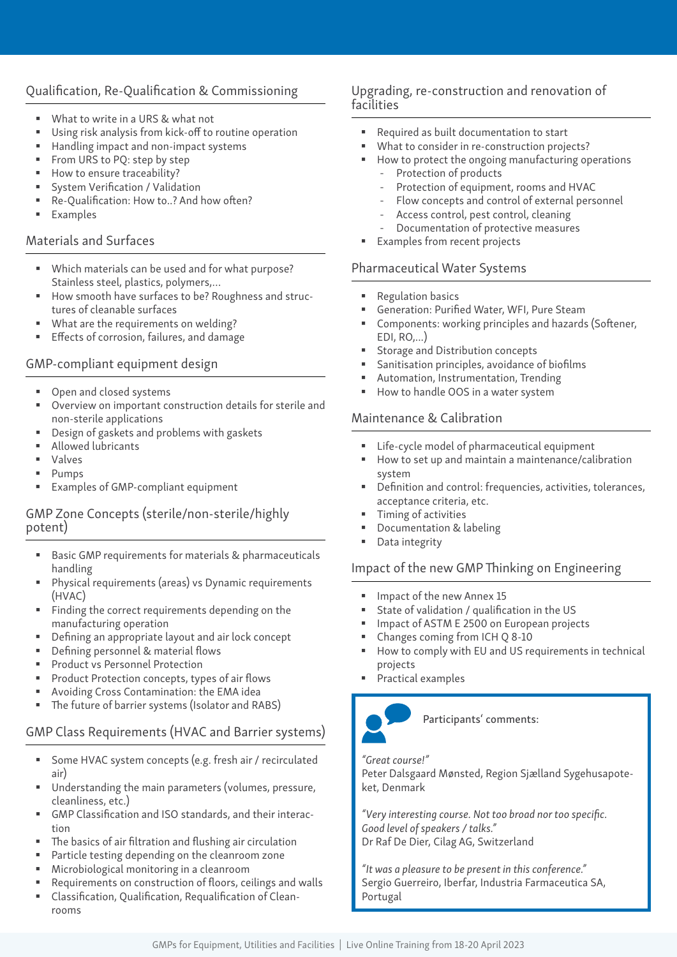# Qualification, Re-Qualification & Commissioning

- What to write in a URS & what not
- Using risk analysis from kick-off to routine operation
- Handling impact and non-impact systems
- From URS to PQ: step by step
- How to ensure traceability?
- System Verification / Validation
- Re-Qualification: How to..? And how often?
- Examples

#### Materials and Surfaces

- Which materials can be used and for what purpose? Stainless steel, plastics, polymers,…
- How smooth have surfaces to be? Roughness and structures of cleanable surfaces
- What are the requirements on welding?
- Effects of corrosion, failures, and damage

#### GMP-compliant equipment design

- Open and closed systems
- Overview on important construction details for sterile and non-sterile applications
- Design of gaskets and problems with gaskets
- **Allowed lubricants**
- Valves
- **Pumps**
- Examples of GMP-compliant equipment

## GMP Zone Concepts (sterile/non-sterile/highly potent)

- Basic GMP requirements for materials & pharmaceuticals handling
- Physical requirements (areas) vs Dynamic requirements (HVAC)
- Finding the correct requirements depending on the manufacturing operation
- Defining an appropriate layout and air lock concept
- Defining personnel & material flows
- Product vs Personnel Protection
- **Product Protection concepts, types of air flows**
- Avoiding Cross Contamination: the EMA idea
- The future of barrier systems (Isolator and RABS)

## GMP Class Requirements (HVAC and Barrier systems)

- Some HVAC system concepts (e.g. fresh air / recirculated air)
- Understanding the main parameters (volumes, pressure, cleanliness, etc.)
- GMP Classification and ISO standards, and their interaction
- The basics of air filtration and flushing air circulation
- Particle testing depending on the cleanroom zone
- Microbiological monitoring in a cleanroom
- Requirements on construction of floors, ceilings and walls
- Classification, Qualification, Requalification of Cleanrooms

## Upgrading, re-construction and renovation of facilities

- Required as built documentation to start
- What to consider in re-construction projects?
- How to protect the ongoing manufacturing operations Protection of products
	- Protection of equipment, rooms and HVAC
	- Flow concepts and control of external personnel
	- Access control, pest control, cleaning
	- Documentation of protective measures
- **Examples from recent projects**

# Pharmaceutical Water Systems

- Regulation basics
- Generation: Purified Water, WFI, Pure Steam
- Components: working principles and hazards (Softener, EDI, RO,...)
- Storage and Distribution concepts
- Sanitisation principles, avoidance of biofilms
- Automation, Instrumentation, Trending
- How to handle OOS in a water system

## Maintenance & Calibration

- Life-cycle model of pharmaceutical equipment
- How to set up and maintain a maintenance/calibration system
- Definition and control: frequencies, activities, tolerances, acceptance criteria, etc.
- Timing of activities
- Documentation & labeling
- Data integrity

# Impact of the new GMP Thinking on Engineering

- Impact of the new Annex 15
- State of validation / qualification in the US
- Impact of ASTM E 2500 on European projects
- Changes coming from ICH Q 8-10
- How to comply with EU and US requirements in technical projects
- Practical examples



Participants' comments:

#### *"Great course!"*

Peter Dalsgaard Mønsted, Region Sjælland Sygehusapoteket, Denmark

*"Very interesting course. Not too broad nor too specific. Good level of speakers / talks."* Dr Raf De Dier, Cilag AG, Switzerland

*"It was a pleasure to be present in this conference."* Sergio Guerreiro, Iberfar, Industria Farmaceutica SA, Portugal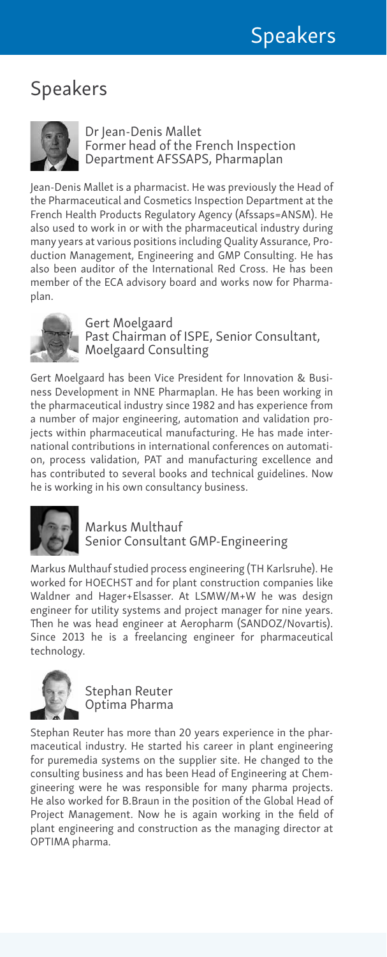# Speakers



Dr Jean-Denis Mallet Former head of the French Inspection Department AFSSAPS, Pharmaplan

Jean-Denis Mallet is a pharmacist. He was previously the Head of the Pharmaceutical and Cosmetics Inspection Department at the French Health Products Regulatory Agency (Afssaps=ANSM). He also used to work in or with the pharmaceutical industry during many years at various positions including Quality Assurance, Production Management, Engineering and GMP Consulting. He has also been auditor of the International Red Cross. He has been member of the ECA advisory board and works now for Pharmaplan.



Gert Moelgaard Past Chairman of ISPE, Senior Consultant, Moelgaard Consulting

Gert Moelgaard has been Vice President for Innovation & Business Development in NNE Pharmaplan. He has been working in the pharmaceutical industry since 1982 and has experience from a number of major engineering, automation and validation projects within pharmaceutical manufacturing. He has made international contributions in international conferences on automation, process validation, PAT and manufacturing excellence and has contributed to several books and technical guidelines. Now he is working in his own consultancy business.



Markus Multhauf Senior Consultant GMP-Engineering

Markus Multhauf studied process engineering (TH Karlsruhe). He worked for HOECHST and for plant construction companies like Waldner and Hager+Elsasser. At LSMW/M+W he was design engineer for utility systems and project manager for nine years. Then he was head engineer at Aeropharm (SANDOZ/Novartis). Since 2013 he is a freelancing engineer for pharmaceutical technology.



Stephan Reuter Optima Pharma

Stephan Reuter has more than 20 years experience in the pharmaceutical industry. He started his career in plant engineering for puremedia systems on the supplier site. He changed to the consulting business and has been Head of Engineering at Chemgineering were he was responsible for many pharma projects. He also worked for B.Braun in the position of the Global Head of Project Management. Now he is again working in the field of plant engineering and construction as the managing director at OPTIMA pharma.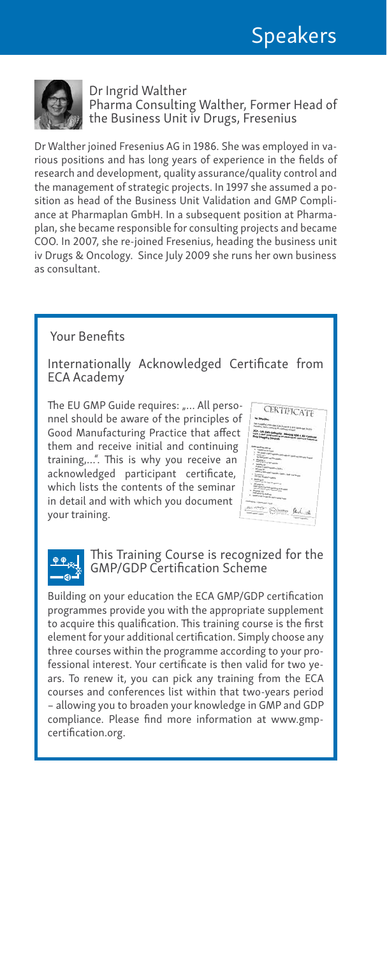

Dr Ingrid Walther Pharma Consulting Walther, Former Head of the Business Unit iv Drugs, Fresenius

Dr Walther joined Fresenius AG in 1986. She was employed in various positions and has long years of experience in the fields of research and development, quality assurance/quality control and the management of strategic projects. In 1997 she assumed a position as head of the Business Unit Validation and GMP Compliance at Pharmaplan GmbH. In a subsequent position at Pharmaplan, she became responsible for consulting projects and became COO. In 2007, she re-joined Fresenius, heading the business unit iv Drugs & Oncology. Since July 2009 she runs her own business as consultant.

## Your Benefits

Internationally Acknowledged Certificate from ECA Academy

The EU GMP Guide requires: "... All personnel should be aware of the principles of Good Manufacturing Practice that affect them and receive initial and continuing training,…". This is why you receive an acknowledged participant certificate, which lists the contents of the seminar in detail and with which you document your training.

CERTIFICATE FCA - Lab Codia Satespies - Measure PDA & FO Co.<br>Field J: Bell Singerchines and America PDA & FO Co.



This Training Course is recognized for the GMP/GDP Certification Scheme

Building on your education the ECA GMP/GDP certification programmes provide you with the appropriate supplement to acquire this qualification. This training course is the first element for your additional certification. Simply choose any three courses within the programme according to your professional interest. Your certificate is then valid for two years. To renew it, you can pick any training from the ECA courses and conferences list within that two-years period – allowing you to broaden your knowledge in GMP and GDP compliance. Please find more information at www.gmpcertification.org.